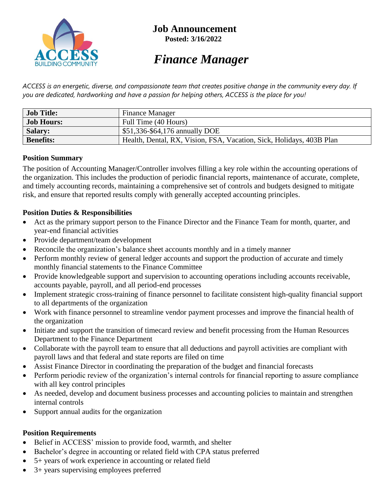

# *Finance Manager*

*ACCESS is an energetic, diverse, and compassionate team that creates positive change in the community every day. If you are dedicated, hardworking and have a passion for helping others, ACCESS is the place for you!*

| <b>Job Title:</b> | <b>Finance Manager</b>                                               |
|-------------------|----------------------------------------------------------------------|
| <b>Job Hours:</b> | Full Time (40 Hours)                                                 |
| <b>Salary:</b>    | \$51,336-\$64,176 annually DOE                                       |
| <b>Benefits:</b>  | Health, Dental, RX, Vision, FSA, Vacation, Sick, Holidays, 403B Plan |

#### **Position Summary**

The position of Accounting Manager/Controller involves filling a key role within the accounting operations of the organization. This includes the production of periodic financial reports, maintenance of accurate, complete, and timely accounting records, maintaining a comprehensive set of controls and budgets designed to mitigate risk, and ensure that reported results comply with generally accepted accounting principles.

### **Position Duties & Responsibilities**

- Act as the primary support person to the Finance Director and the Finance Team for month, quarter, and year-end financial activities
- Provide department/team development
- Reconcile the organization's balance sheet accounts monthly and in a timely manner
- Perform monthly review of general ledger accounts and support the production of accurate and timely monthly financial statements to the Finance Committee
- Provide knowledgeable support and supervision to accounting operations including accounts receivable, accounts payable, payroll, and all period-end processes
- Implement strategic cross-training of finance personnel to facilitate consistent high-quality financial support to all departments of the organization
- Work with finance personnel to streamline vendor payment processes and improve the financial health of the organization
- Initiate and support the transition of timecard review and benefit processing from the Human Resources Department to the Finance Department
- Collaborate with the payroll team to ensure that all deductions and payroll activities are compliant with payroll laws and that federal and state reports are filed on time
- Assist Finance Director in coordinating the preparation of the budget and financial forecasts
- Perform periodic review of the organization's internal controls for financial reporting to assure compliance with all key control principles
- As needed, develop and document business processes and accounting policies to maintain and strengthen internal controls
- Support annual audits for the organization

### **Position Requirements**

- Belief in ACCESS' mission to provide food, warmth, and shelter
- Bachelor's degree in accounting or related field with CPA status preferred
- 5+ years of work experience in accounting or related field
- 3+ years supervising employees preferred